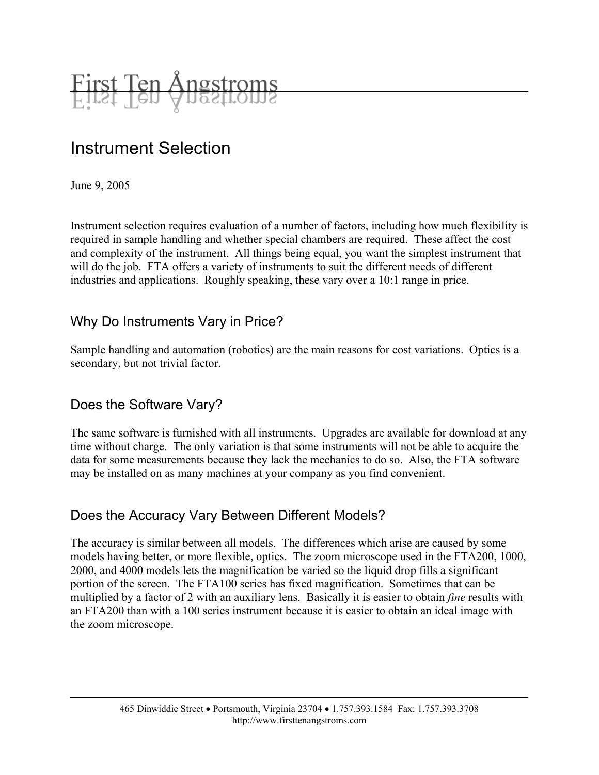

# Instrument Selection

June 9, 2005

Instrument selection requires evaluation of a number of factors, including how much flexibility is required in sample handling and whether special chambers are required. These affect the cost and complexity of the instrument. All things being equal, you want the simplest instrument that will do the job. FTA offers a variety of instruments to suit the different needs of different industries and applications. Roughly speaking, these vary over a 10:1 range in price.

#### Why Do Instruments Vary in Price?

Sample handling and automation (robotics) are the main reasons for cost variations. Optics is a secondary, but not trivial factor.

#### Does the Software Vary?

The same software is furnished with all instruments. Upgrades are available for download at any time without charge. The only variation is that some instruments will not be able to acquire the data for some measurements because they lack the mechanics to do so. Also, the FTA software may be installed on as many machines at your company as you find convenient.

#### Does the Accuracy Vary Between Different Models?

The accuracy is similar between all models. The differences which arise are caused by some models having better, or more flexible, optics. The zoom microscope used in the FTA200, 1000, 2000, and 4000 models lets the magnification be varied so the liquid drop fills a significant portion of the screen. The FTA100 series has fixed magnification. Sometimes that can be multiplied by a factor of 2 with an auxiliary lens. Basically it is easier to obtain *fine* results with an FTA200 than with a 100 series instrument because it is easier to obtain an ideal image with the zoom microscope.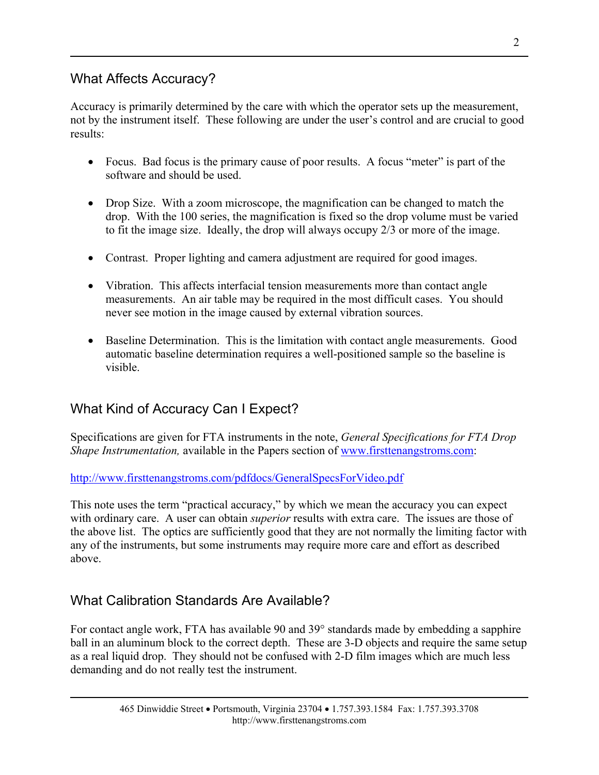#### What Affects Accuracy?

Accuracy is primarily determined by the care with which the operator sets up the measurement, not by the instrument itself. These following are under the user's control and are crucial to good results:

- Focus. Bad focus is the primary cause of poor results. A focus "meter" is part of the software and should be used.
- Drop Size. With a zoom microscope, the magnification can be changed to match the drop. With the 100 series, the magnification is fixed so the drop volume must be varied to fit the image size. Ideally, the drop will always occupy 2/3 or more of the image.
- Contrast. Proper lighting and camera adjustment are required for good images.
- Vibration. This affects interfacial tension measurements more than contact angle measurements. An air table may be required in the most difficult cases. You should never see motion in the image caused by external vibration sources.
- Baseline Determination. This is the limitation with contact angle measurements. Good automatic baseline determination requires a well-positioned sample so the baseline is visible.

## What Kind of Accuracy Can I Expect?

Specifications are given for FTA instruments in the note, *General Specifications for FTA Drop Shape Instrumentation,* available in the Papers section of [www.firsttenangstroms.com](http://www.firsttenangstroms.com/):

<http://www.firsttenangstroms.com/pdfdocs/GeneralSpecsForVideo.pdf>

This note uses the term "practical accuracy," by which we mean the accuracy you can expect with ordinary care. A user can obtain *superior* results with extra care. The issues are those of the above list. The optics are sufficiently good that they are not normally the limiting factor with any of the instruments, but some instruments may require more care and effort as described above.

### What Calibration Standards Are Available?

For contact angle work, FTA has available 90 and 39° standards made by embedding a sapphire ball in an aluminum block to the correct depth. These are 3-D objects and require the same setup as a real liquid drop. They should not be confused with 2-D film images which are much less demanding and do not really test the instrument.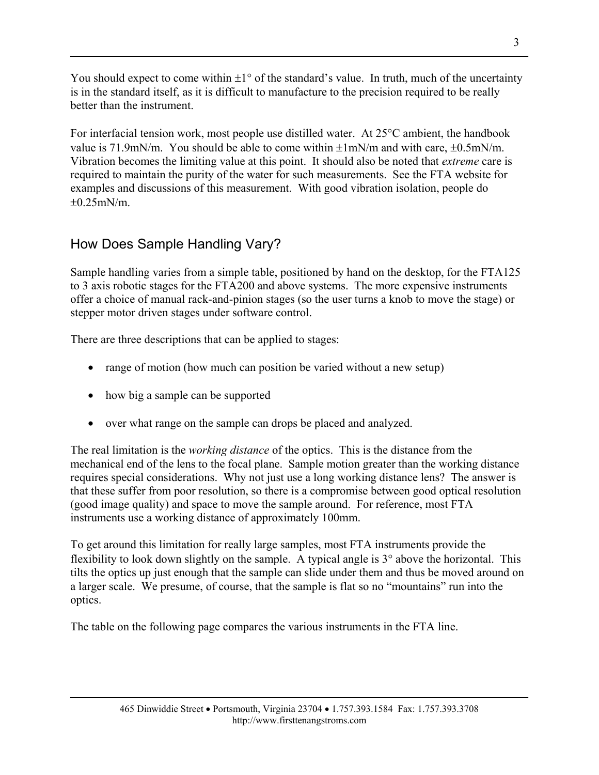You should expect to come within  $\pm 1^{\circ}$  of the standard's value. In truth, much of the uncertainty is in the standard itself, as it is difficult to manufacture to the precision required to be really better than the instrument.

For interfacial tension work, most people use distilled water. At 25°C ambient, the handbook value is 71.9mN/m. You should be able to come within  $\pm 1$ mN/m and with care,  $\pm 0.5$ mN/m. Vibration becomes the limiting value at this point. It should also be noted that *extreme* care is required to maintain the purity of the water for such measurements. See the FTA website for examples and discussions of this measurement. With good vibration isolation, people do  $+0.25$ mN/m.

## How Does Sample Handling Vary?

Sample handling varies from a simple table, positioned by hand on the desktop, for the FTA125 to 3 axis robotic stages for the FTA200 and above systems. The more expensive instruments offer a choice of manual rack-and-pinion stages (so the user turns a knob to move the stage) or stepper motor driven stages under software control.

There are three descriptions that can be applied to stages:

- range of motion (how much can position be varied without a new setup)
- how big a sample can be supported
- over what range on the sample can drops be placed and analyzed.

The real limitation is the *working distance* of the optics. This is the distance from the mechanical end of the lens to the focal plane. Sample motion greater than the working distance requires special considerations. Why not just use a long working distance lens? The answer is that these suffer from poor resolution, so there is a compromise between good optical resolution (good image quality) and space to move the sample around. For reference, most FTA instruments use a working distance of approximately 100mm.

To get around this limitation for really large samples, most FTA instruments provide the flexibility to look down slightly on the sample. A typical angle is 3° above the horizontal. This tilts the optics up just enough that the sample can slide under them and thus be moved around on a larger scale. We presume, of course, that the sample is flat so no "mountains" run into the optics.

The table on the following page compares the various instruments in the FTA line.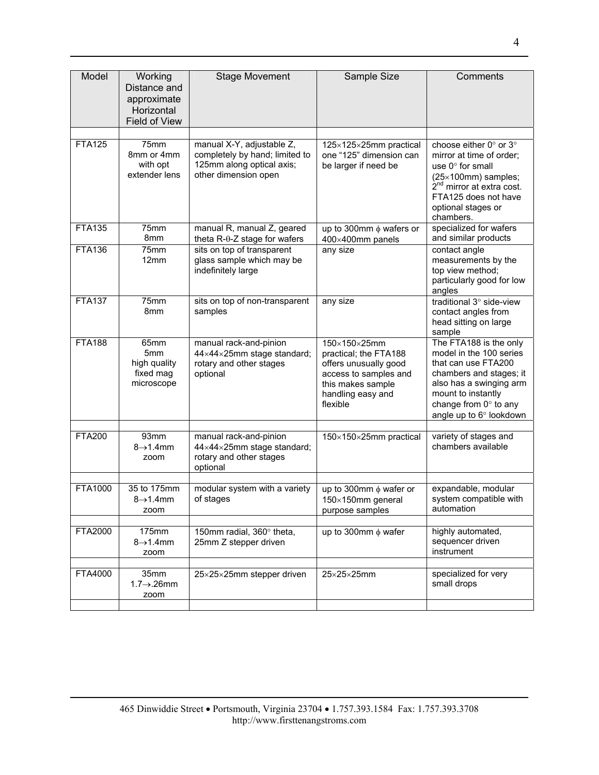| Model          | Working<br>Distance and<br>approximate<br>Horizontal<br><b>Field of View</b> | <b>Stage Movement</b>                                                                                            | Sample Size                                                                                                                                   | Comments                                                                                                                                                                                                  |
|----------------|------------------------------------------------------------------------------|------------------------------------------------------------------------------------------------------------------|-----------------------------------------------------------------------------------------------------------------------------------------------|-----------------------------------------------------------------------------------------------------------------------------------------------------------------------------------------------------------|
| <b>FTA125</b>  | 75 <sub>mm</sub><br>8mm or 4mm<br>with opt<br>extender lens                  | manual X-Y, adjustable Z,<br>completely by hand; limited to<br>125mm along optical axis;<br>other dimension open | 125×125×25mm practical<br>one "125" dimension can<br>be larger if need be                                                                     | choose either 0° or 3°<br>mirror at time of order;<br>use 0° for small<br>$(25\times100$ mm) samples;<br>2 <sup>nd</sup> mirror at extra cost.<br>FTA125 does not have<br>optional stages or<br>chambers. |
| <b>FTA135</b>  | 75 <sub>mm</sub><br>8 <sub>mm</sub>                                          | manual R, manual Z, geared<br>theta R-θ-Z stage for wafers                                                       | up to 300mm $\phi$ wafers or<br>400×400mm panels                                                                                              | specialized for wafers<br>and similar products                                                                                                                                                            |
| <b>FTA136</b>  | 75 <sub>mm</sub><br>12mm                                                     | sits on top of transparent<br>glass sample which may be<br>indefinitely large                                    | any size                                                                                                                                      | contact angle<br>measurements by the<br>top view method;<br>particularly good for low<br>angles                                                                                                           |
| <b>FTA137</b>  | 75mm<br>8 <sub>mm</sub>                                                      | sits on top of non-transparent<br>samples                                                                        | any size                                                                                                                                      | traditional 3° side-view<br>contact angles from<br>head sitting on large<br>sample                                                                                                                        |
| <b>FTA188</b>  | 65 <sub>mm</sub><br>5mm<br>high quality<br>fixed mag<br>microscope           | manual rack-and-pinion<br>44×44×25mm stage standard;<br>rotary and other stages<br>optional                      | 150×150×25mm<br>practical; the FTA188<br>offers unusually good<br>access to samples and<br>this makes sample<br>handling easy and<br>flexible | The FTA188 is the only<br>model in the 100 series<br>that can use FTA200<br>chambers and stages; it<br>also has a swinging arm<br>mount to instantly<br>change from 0° to any<br>angle up to 6° lookdown  |
| <b>FTA200</b>  | 93 <sub>mm</sub><br>$8\rightarrow 1.4$ mm<br>zoom                            | manual rack-and-pinion<br>44×44×25mm stage standard;<br>rotary and other stages<br>optional                      | 150×150×25mm practical                                                                                                                        | variety of stages and<br>chambers available                                                                                                                                                               |
| FTA1000        | 35 to 175mm<br>$8\rightarrow 1.4$ mm<br>zoom                                 | modular system with a variety<br>of stages                                                                       | up to 300mm $\phi$ wafer or<br>$150\times150$ mm general<br>purpose samples                                                                   | expandable, modular<br>system compatible with<br>automation                                                                                                                                               |
| <b>FTA2000</b> | 175mm                                                                        | 150mm radial, 360° theta,                                                                                        | up to 300mm $\phi$ wafer                                                                                                                      | highly automated,                                                                                                                                                                                         |
|                | $8\rightarrow 1.4$ mm<br>zoom                                                | 25mm Z stepper driven                                                                                            |                                                                                                                                               | sequencer driven<br>instrument                                                                                                                                                                            |
| FTA4000        | 35mm<br>$1.7 \rightarrow 26$ mm<br>zoom                                      | 25×25×25mm stepper driven                                                                                        | $25\times25\times25$ mm                                                                                                                       | specialized for very<br>small drops                                                                                                                                                                       |